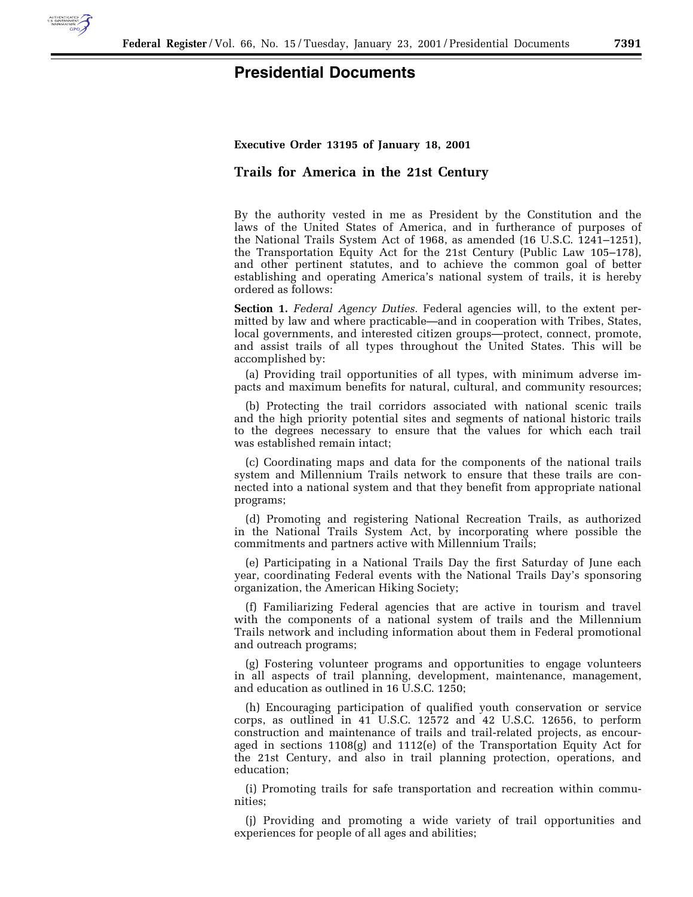

## **Presidential Documents**

## **Executive Order 13195 of January 18, 2001**

## **Trails for America in the 21st Century**

By the authority vested in me as President by the Constitution and the laws of the United States of America, and in furtherance of purposes of the National Trails System Act of 1968, as amended (16 U.S.C. 1241–1251), the Transportation Equity Act for the 21st Century (Public Law 105–178), and other pertinent statutes, and to achieve the common goal of better establishing and operating America's national system of trails, it is hereby ordered as follows:

**Section 1.** *Federal Agency Duties.* Federal agencies will, to the extent permitted by law and where practicable—and in cooperation with Tribes, States, local governments, and interested citizen groups—protect, connect, promote, and assist trails of all types throughout the United States. This will be accomplished by:

(a) Providing trail opportunities of all types, with minimum adverse impacts and maximum benefits for natural, cultural, and community resources;

(b) Protecting the trail corridors associated with national scenic trails and the high priority potential sites and segments of national historic trails to the degrees necessary to ensure that the values for which each trail was established remain intact;

(c) Coordinating maps and data for the components of the national trails system and Millennium Trails network to ensure that these trails are connected into a national system and that they benefit from appropriate national programs;

(d) Promoting and registering National Recreation Trails, as authorized in the National Trails System Act, by incorporating where possible the commitments and partners active with Millennium Trails;

(e) Participating in a National Trails Day the first Saturday of June each year, coordinating Federal events with the National Trails Day's sponsoring organization, the American Hiking Society;

(f) Familiarizing Federal agencies that are active in tourism and travel with the components of a national system of trails and the Millennium Trails network and including information about them in Federal promotional and outreach programs;

(g) Fostering volunteer programs and opportunities to engage volunteers in all aspects of trail planning, development, maintenance, management, and education as outlined in 16 U.S.C. 1250;

(h) Encouraging participation of qualified youth conservation or service corps, as outlined in 41 U.S.C. 12572 and 42 U.S.C. 12656, to perform construction and maintenance of trails and trail-related projects, as encouraged in sections  $1108(g)$  and  $1112(e)$  of the Transportation Equity Act for the 21st Century, and also in trail planning protection, operations, and education;

(i) Promoting trails for safe transportation and recreation within communities;

(j) Providing and promoting a wide variety of trail opportunities and experiences for people of all ages and abilities;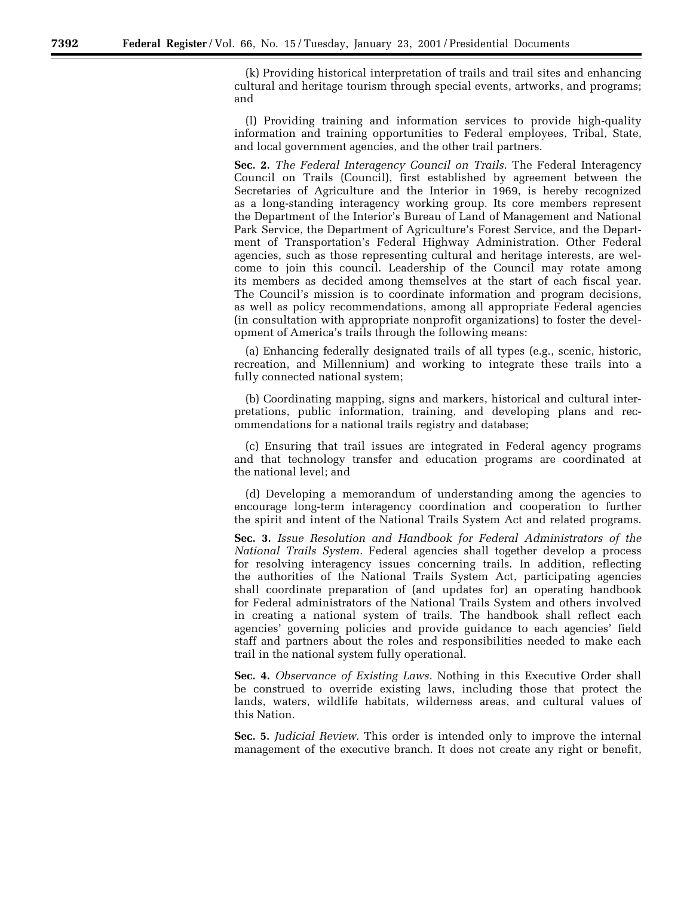(k) Providing historical interpretation of trails and trail sites and enhancing cultural and heritage tourism through special events, artworks, and programs; and

(l) Providing training and information services to provide high-quality information and training opportunities to Federal employees, Tribal, State, and local government agencies, and the other trail partners.

**Sec. 2.** *The Federal Interagency Council on Trails.* The Federal Interagency Council on Trails (Council), first established by agreement between the Secretaries of Agriculture and the Interior in 1969, is hereby recognized as a long-standing interagency working group. Its core members represent the Department of the Interior's Bureau of Land of Management and National Park Service, the Department of Agriculture's Forest Service, and the Department of Transportation's Federal Highway Administration. Other Federal agencies, such as those representing cultural and heritage interests, are welcome to join this council. Leadership of the Council may rotate among its members as decided among themselves at the start of each fiscal year. The Council's mission is to coordinate information and program decisions, as well as policy recommendations, among all appropriate Federal agencies (in consultation with appropriate nonprofit organizations) to foster the development of America's trails through the following means:

(a) Enhancing federally designated trails of all types (e.g., scenic, historic, recreation, and Millennium) and working to integrate these trails into a fully connected national system;

(b) Coordinating mapping, signs and markers, historical and cultural interpretations, public information, training, and developing plans and recommendations for a national trails registry and database;

(c) Ensuring that trail issues are integrated in Federal agency programs and that technology transfer and education programs are coordinated at the national level; and

(d) Developing a memorandum of understanding among the agencies to encourage long-term interagency coordination and cooperation to further the spirit and intent of the National Trails System Act and related programs.

**Sec. 3.** *Issue Resolution and Handbook for Federal Administrators of the National Trails System.* Federal agencies shall together develop a process for resolving interagency issues concerning trails. In addition, reflecting the authorities of the National Trails System Act, participating agencies shall coordinate preparation of (and updates for) an operating handbook for Federal administrators of the National Trails System and others involved in creating a national system of trails. The handbook shall reflect each agencies' governing policies and provide guidance to each agencies' field staff and partners about the roles and responsibilities needed to make each trail in the national system fully operational.

**Sec. 4.** *Observance of Existing Laws.* Nothing in this Executive Order shall be construed to override existing laws, including those that protect the lands, waters, wildlife habitats, wilderness areas, and cultural values of this Nation.

**Sec. 5.** *Judicial Review.* This order is intended only to improve the internal management of the executive branch. It does not create any right or benefit,